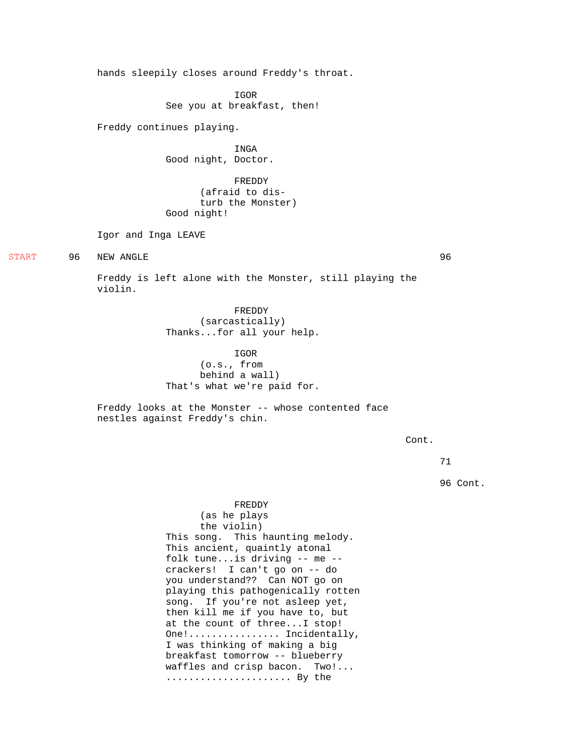hands sleepily closes around Freddy's throat. IGOR See you at breakfast, then! Freddy continues playing. INGA Good night, Doctor. FREDDY (afraid to disturb the Monster) Good night! Igor and Inga LEAVE 96 NEW ANGLE 96 Freddy is left alone with the Monster, still playing the violin. FREDDY (sarcastically) Thanks...for all your help. IGOR (o.s., from behind a wall) That's what we're paid for. Freddy looks at the Monster -- whose contented face nestles against Freddy's chin. FREDDY

START

(as he plays the violin) This song. This haunting melody. This ancient, quaintly atonal folk tune...is driving -- me - crackers! I can't go on -- do you understand?? Can NOT go on playing this pathogenically rotten song. If you're not asleep yet, then kill me if you have to, but at the count of three...I stop! One!................... Incidentally, I was thinking of making a big breakfast tomorrow -- blueberry waffles and crisp bacon. Two!... ...................... By the

71

96 Cont.

Cont.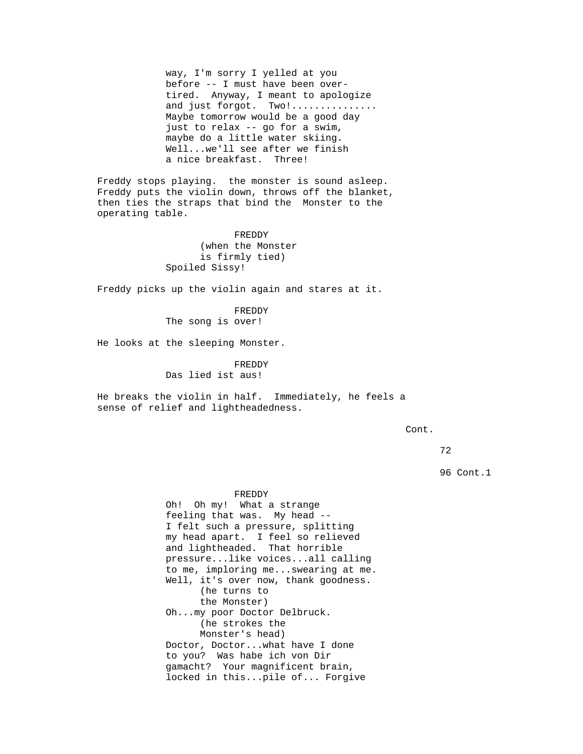way, I'm sorry I yelled at you before -- I must have been overtired. Anyway, I meant to apologize and just forgot. Two!............... Maybe tomorrow would be a good day just to relax -- go for a swim, maybe do a little water skiing. Well...we'll see after we finish a nice breakfast. Three!

Freddy stops playing. the monster is sound asleep. Freddy puts the violin down, throws off the blanket, then ties the straps that bind the Monster to the operating table.

> FREDDY (when the Monster is firmly tied) Spoiled Sissy!

Freddy picks up the violin again and stares at it.

FREDDY

The song is over!

He looks at the sleeping Monster.

FREDDY Das lied ist aus!

He breaks the violin in half. Immediately, he feels a sense of relief and lightheadedness.

Cont.

72

96 Cont.1

FREDDY Oh! Oh my! What a strange feeling that was. My head -- I felt such a pressure, splitting my head apart. I feel so relieved and lightheaded. That horrible pressure...like voices...all calling to me, imploring me...swearing at me. Well, it's over now, thank goodness. (he turns to the Monster) Oh...my poor Doctor Delbruck. (he strokes the Monster's head) Doctor, Doctor...what have I done to you? Was habe ich von Dir gamacht? Your magnificent brain, locked in this...pile of... Forgive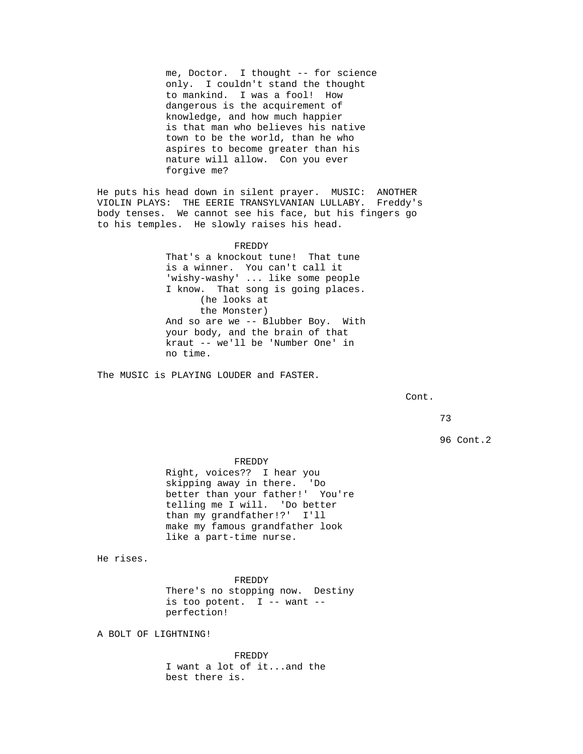me, Doctor. I thought -- for science only. I couldn't stand the thought to mankind. I was a fool! How dangerous is the acquirement of knowledge, and how much happier is that man who believes his native town to be the world, than he who aspires to become greater than his nature will allow. Con you ever forgive me?

He puts his head down in silent prayer. MUSIC: ANOTHER VIOLIN PLAYS: THE EERIE TRANSYLVANIAN LULLABY. Freddy's body tenses. We cannot see his face, but his fingers go to his temples. He slowly raises his head.

## FREDDY

That's a knockout tune! That tune is a winner. You can't call it 'wishy-washy' ... like some people I know. That song is going places. (he looks at the Monster) And so are we -- Blubber Boy. With your body, and the brain of that kraut -- we'll be 'Number One' in no time.

The MUSIC is PLAYING LOUDER and FASTER.

Cont.

73

96 Cont.2

FREDDY Right, voices?? I hear you skipping away in there. 'Do better than your father!' You're telling me I will. 'Do better than my grandfather!?' I'll make my famous grandfather look like a part-time nurse.

He rises.

FREDDY There's no stopping now. Destiny is too potent.  $I$  -- want -perfection!

A BOLT OF LIGHTNING!

FREDDY I want a lot of it...and the best there is.